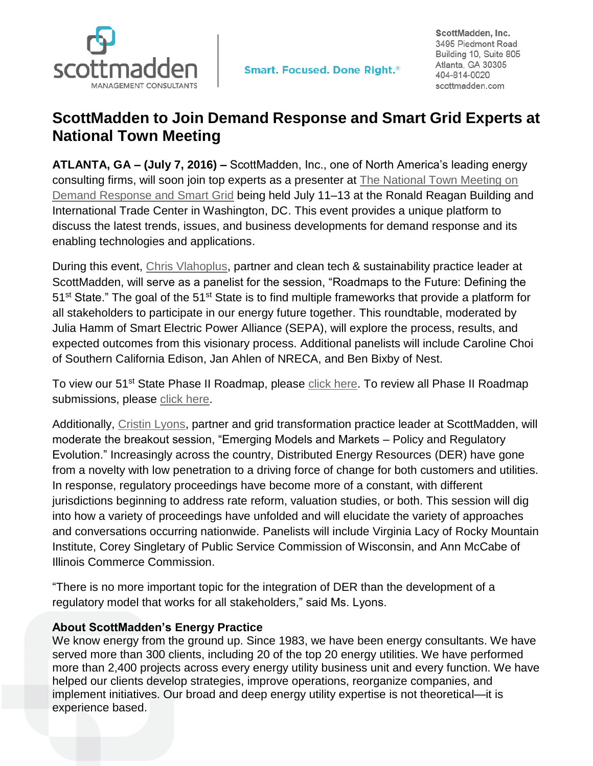

ScottMadden, Inc. 3495 Piedmont Road Building 10, Suite 805 Atlanta, GA 30305 404-814-0020 scottmadden.com

## **ScottMadden to Join Demand Response and Smart Grid Experts at National Town Meeting**

**ATLANTA, GA – (July 7, 2016) –** ScottMadden, Inc., one of North America's leading energy consulting firms, will soon join top experts as a presenter at [The National Town Meeting on](http://www.demandresponsetownmeeting.com/)  [Demand Response and Smart Grid](http://www.demandresponsetownmeeting.com/) being held July 11–13 at the Ronald Reagan Building and International Trade Center in Washington, DC. This event provides a unique platform to discuss the latest trends, issues, and business developments for demand response and its enabling technologies and applications.

During this event, [Chris Vlahoplus,](http://www.scottmadden.com/person/chris-vlahoplus/) partner and clean tech & sustainability practice leader at ScottMadden, will serve as a panelist for the session, "Roadmaps to the Future: Defining the 51<sup>st</sup> State." The goal of the 51<sup>st</sup> State is to find multiple frameworks that provide a platform for all stakeholders to participate in our energy future together. This roundtable, moderated by Julia Hamm of Smart Electric Power Alliance (SEPA), will explore the process, results, and expected outcomes from this visionary process. Additional panelists will include Caroline Choi of Southern California Edison, Jan Ahlen of NRECA, and Ben Bixby of Nest.

To view our 51<sup>st</sup> State Phase II Roadmap, please [click here.](http://www.scottmadden.com/insight/the-51st-state-initiative/) To review all Phase II Roadmap submissions, please [click here.](http://sepa51.org/submissions.php)

Additionally, [Cristin Lyons,](http://www.scottmadden.com/person/cristin-lyons/) partner and grid transformation practice leader at ScottMadden, will moderate the breakout session, "Emerging Models and Markets – Policy and Regulatory Evolution." Increasingly across the country, Distributed Energy Resources (DER) have gone from a novelty with low penetration to a driving force of change for both customers and utilities. In response, regulatory proceedings have become more of a constant, with different jurisdictions beginning to address rate reform, valuation studies, or both. This session will dig into how a variety of proceedings have unfolded and will elucidate the variety of approaches and conversations occurring nationwide. Panelists will include Virginia Lacy of Rocky Mountain Institute, Corey Singletary of Public Service Commission of Wisconsin, and Ann McCabe of Illinois Commerce Commission.

"There is no more important topic for the integration of DER than the development of a regulatory model that works for all stakeholders," said Ms. Lyons.

## **About ScottMadden's Energy Practice**

We know energy from the ground up. Since 1983, we have been energy consultants. We have served more than 300 clients, including 20 of the top 20 energy utilities. We have performed more than 2,400 projects across every energy utility business unit and every function. We have helped our clients develop strategies, improve operations, reorganize companies, and implement initiatives. Our broad and deep energy utility expertise is not theoretical—it is experience based.